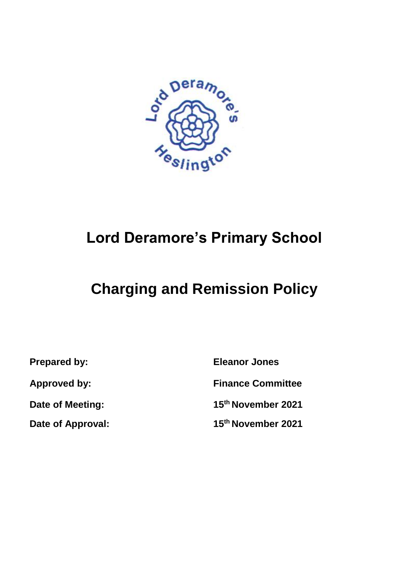

# **Lord Deramore's Primary School**

# **Charging and Remission Policy**

**Date of Meeting:**

**Date of Approval:** 

**Prepared by: Eleanor Jones Approved by: Finance Committee 15th November 2021 15th November 2021**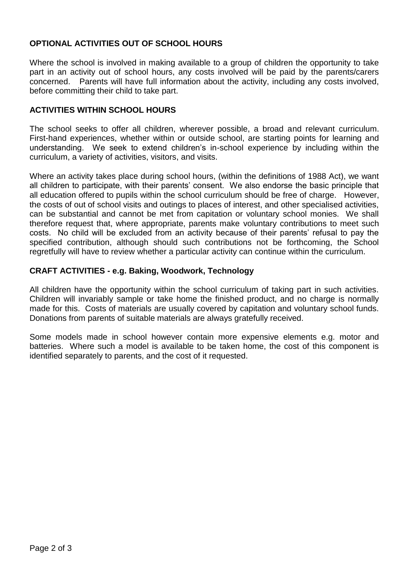# **OPTIONAL ACTIVITIES OUT OF SCHOOL HOURS**

Where the school is involved in making available to a group of children the opportunity to take part in an activity out of school hours, any costs involved will be paid by the parents/carers concerned. Parents will have full information about the activity, including any costs involved, before committing their child to take part.

## **ACTIVITIES WITHIN SCHOOL HOURS**

The school seeks to offer all children, wherever possible, a broad and relevant curriculum. First-hand experiences, whether within or outside school, are starting points for learning and understanding. We seek to extend children's in-school experience by including within the curriculum, a variety of activities, visitors, and visits.

Where an activity takes place during school hours, (within the definitions of 1988 Act), we want all children to participate, with their parents' consent. We also endorse the basic principle that all education offered to pupils within the school curriculum should be free of charge. However, the costs of out of school visits and outings to places of interest, and other specialised activities, can be substantial and cannot be met from capitation or voluntary school monies. We shall therefore request that, where appropriate, parents make voluntary contributions to meet such costs. No child will be excluded from an activity because of their parents' refusal to pay the specified contribution, although should such contributions not be forthcoming, the School regretfully will have to review whether a particular activity can continue within the curriculum.

## **CRAFT ACTIVITIES - e.g. Baking, Woodwork, Technology**

All children have the opportunity within the school curriculum of taking part in such activities. Children will invariably sample or take home the finished product, and no charge is normally made for this. Costs of materials are usually covered by capitation and voluntary school funds. Donations from parents of suitable materials are always gratefully received.

Some models made in school however contain more expensive elements e.g. motor and batteries. Where such a model is available to be taken home, the cost of this component is identified separately to parents, and the cost of it requested.